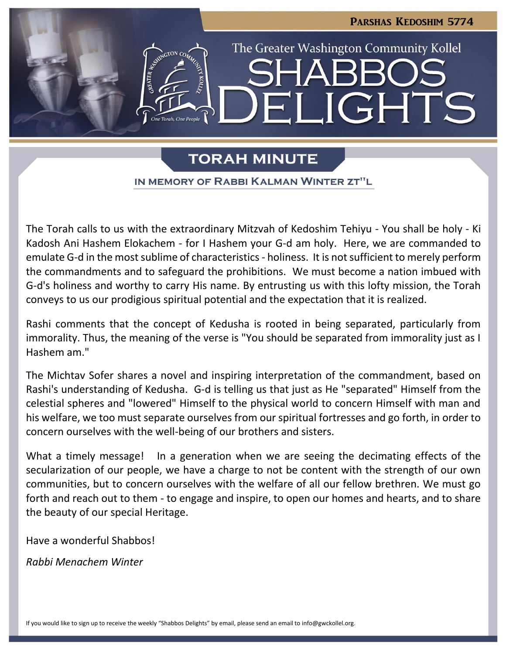

# **TORAH MINUTE**

IN MEMORY OF RABBI KALMAN WINTER ZT"L

The Torah calls to us with the extraordinary Mitzvah of Kedoshim Tehiyu - You shall be holy - Ki Kadosh Ani Hashem Elokachem - for I Hashem your G-d am holy. Here, we are commanded to emulate G-d in the most sublime of characteristics - holiness. It is not sufficient to merely perform the commandments and to safeguard the prohibitions. We must become a nation imbued with G-d's holiness and worthy to carry His name. By entrusting us with this lofty mission, the Torah conveys to us our prodigious spiritual potential and the expectation that it is realized.

Rashi comments that the concept of Kedusha is rooted in being separated, particularly from immorality. Thus, the meaning of the verse is "You should be separated from immorality just as I Hashem am."

The Michtav Sofer shares a novel and inspiring interpretation of the commandment, based on Rashi's understanding of Kedusha. G-d is telling us that just as He "separated" Himself from the celestial spheres and "lowered" Himself to the physical world to concern Himself with man and his welfare, we too must separate ourselves from our spiritual fortresses and go forth, in order to concern ourselves with the well-being of our brothers and sisters.

What a timely message! In a generation when we are seeing the decimating effects of the secularization of our people, we have a charge to not be content with the strength of our own communities, but to concern ourselves with the welfare of all our fellow brethren. We must go forth and reach out to them - to engage and inspire, to open our homes and hearts, and to share the beauty of our special Heritage.

Have a wonderful Shabbos!

*Rabbi Menachem Winter*